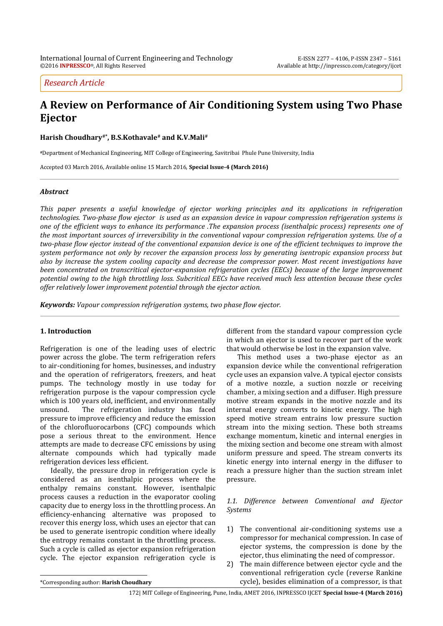*Research Article*

# **A Review on Performance of Air Conditioning System using Two Phase Ejector**

**Harish Choudhary#\* , B.S.Kothavale# and K.V.Mali#**

**#**Department of Mechanical Engineering, MIT College of Engineering, Savitribai Phule Pune University, India

Accepted 03 March 2016, Available online 15 March 2016, **Special Issue-4 (March 2016)**

# *Abstract*

*This paper presents a useful knowledge of ejector working principles and its applications in refrigeration technologies. Two-phase flow ejector is used as an expansion device in vapour compression refrigeration systems is one of the efficient ways to enhance its performance .The expansion process (isenthalpic process) represents one of the most important sources of irreversibility in the conventional vapour compression refrigeration systems. Use of a two-phase flow ejector instead of the conventional expansion device is one of the efficient techniques to improve the system performance not only by recover the expansion process loss by generating isentropic expansion process but also by increase the system cooling capacity and decrease the compressor power. Most recent investigations have been concentrated on transcritical ejector-expansion refrigeration cycles (EECs) because of the large improvement potential owing to the high throttling loss. Subcritical EECs have received much less attention because these cycles offer relatively lower improvement potential through the ejector action.*

*Keywords: Vapour compression refrigeration systems, two phase flow ejector.*

## **1. Introduction**

Refrigeration is one of the leading uses of electric power across the globe. The term refrigeration refers to air-conditioning for homes, businesses, and industry and the operation of refrigerators, freezers, and heat pumps. The technology mostly in use today for refrigeration purpose is the vapour compression cycle which is 100 years old, inefficient, and environmentally unsound. The refrigeration industry has faced pressure to improve efficiency and reduce the emission of the chlorofluorocarbons (CFC) compounds which pose a serious threat to the environment. Hence attempts are made to decrease CFC emissions by using alternate compounds which had typically made refrigeration devices less efficient.

Ideally, the pressure drop in refrigeration cycle is considered as an isenthalpic process where the enthalpy remains constant. However, isenthalpic process causes a reduction in the evaporator cooling capacity due to energy loss in the throttling process. An efficiency-enhancing alternative was proposed to recover this energy loss, which uses an ejector that can be used to generate isentropic condition where ideally the entropy remains constant in the throttling process. Such a cycle is called as ejector expansion refrigeration cycle. The ejector expansion refrigeration cycle is

different from the standard vapour compression cycle in which an ejector is used to recover part of the work that would otherwise be lost in the expansion valve.

This method uses a two-phase ejector as an expansion device while the conventional refrigeration cycle uses an expansion valve. A typical ejector consists of a motive nozzle, a suction nozzle or receiving chamber, a mixing section and a diffuser. High pressure motive stream expands in the motive nozzle and its internal energy converts to kinetic energy. The high speed motive stream entrains low pressure suction stream into the mixing section. These both streams exchange momentum, kinetic and internal energies in the mixing section and become one stream with almost uniform pressure and speed. The stream converts its kinetic energy into internal energy in the diffuser to reach a pressure higher than the suction stream inlet pressure.

# *1.1. Difference between Conventional and Ejector Systems*

- 1) The conventional air-conditioning systems use a compressor for mechanical compression. In case of ejector systems, the compression is done by the ejector, thus eliminating the need of compressor.
- 2) The main difference between ejector cycle and the conventional refrigeration cycle (reverse Rankine cycle), besides elimination of a compressor, is that

 $\overline{a}$ 

<sup>\*</sup>Corresponding author: **Harish Choudhary**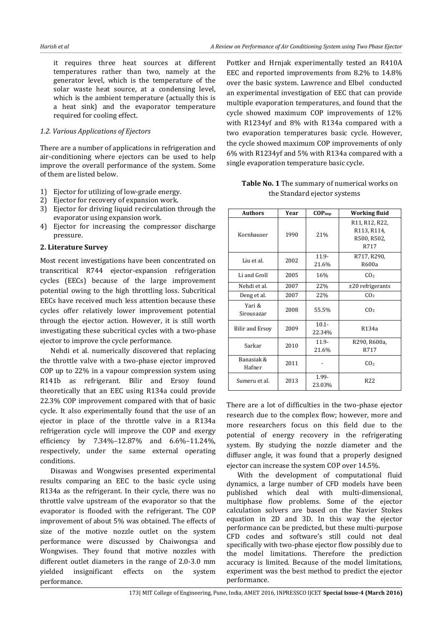it requires three heat sources at different temperatures rather than two, namely at the generator level, which is the temperature of the solar waste heat source, at a condensing level, which is the ambient temperature (actually this is a heat sink) and the evaporator temperature required for cooling effect.

## *1.2. Various Applications of Ejectors*

There are a number of applications in refrigeration and air-conditioning where ejectors can be used to help improve the overall performance of the system. Some of them are listed below.

- 1) Ejector for utilizing of low-grade energy.
- 2) Ejector for recovery of expansion work.
- 3) Ejector for driving liquid recirculation through the evaporator using expansion work.
- 4) Ejector for increasing the compressor discharge pressure.

# **2. Literature Survey**

Most recent investigations have been concentrated on transcritical R744 ejector-expansion refrigeration cycles (EECs) because of the large improvement potential owing to the high throttling loss. Subcritical EECs have received much less attention because these cycles offer relatively lower improvement potential through the ejector action. However, it is still worth investigating these subcritical cycles with a two-phase ejector to improve the cycle performance.

Nehdi et al. numerically discovered that replacing the throttle valve with a two-phase ejector improved COP up to 22% in a vapour compression system using R141b as refrigerant. Bilir and Ersoy found theoretically that an EEC using R134a could provide 22.3% COP improvement compared with that of basic cycle. It also experimentally found that the use of an ejector in place of the throttle valve in a R134a refrigeration cycle will improve the COP and exergy efficiency by 7.34%–12.87% and 6.6%–11.24%, respectively, under the same external operating conditions.

Disawas and Wongwises presented experimental results comparing an EEC to the basic cycle using R134a as the refrigerant. In their cycle, there was no throttle valve upstream of the evaporator so that the evaporator is flooded with the refrigerant. The COP improvement of about 5% was obtained. The effects of size of the motive nozzle outlet on the system performance were discussed by Chaiwongsa and Wongwises. They found that motive nozzles with different outlet diameters in the range of 2.0-3.0 mm yielded insignificant effects on the system performance.

Pottker and Hrnjak experimentally tested an R410A EEC and reported improvements from 8.2% to 14.8% over the basic system. Lawrence and Elbel conducted an experimental investigation of EEC that can provide multiple evaporation temperatures, and found that the cycle showed maximum COP improvements of 12% with R1234yf and 8% with R134a compared with a two evaporation temperatures basic cycle. However, the cycle showed maximum COP improvements of only 6% with R1234yf and 5% with R134a compared with a single evaporation temperature basic cycle.

| <b>Authors</b>       | Year | $COP_{imp}$        | Working fluid                                        |  |
|----------------------|------|--------------------|------------------------------------------------------|--|
| Kornhauser           | 1990 | 21%                | R11, R12, R22,<br>R113, R114,<br>R500, R502,<br>R717 |  |
| Liu et al.           | 2002 | $11.9 -$<br>21.6%  | R717, R290,<br>R600a                                 |  |
| Li and Groll         | 2005 | 16%                | CO <sub>2</sub>                                      |  |
| Nehdi et al.         | 2007 | 22%                | $±20$ refrigerants                                   |  |
| Deng et al.          | 2007 | 22%                | CO <sub>2</sub>                                      |  |
| Yari &<br>Sirousazar | 2008 | 55.5%              | CO <sub>2</sub>                                      |  |
| Bilir and Ersoy      | 2009 | $10.1 -$<br>22.34% | R134a                                                |  |
| Sarkar               | 2010 | $11.9 -$<br>21.6%  | R290, R600a,<br>R717                                 |  |
| Banasiak &<br>Hafner | 2011 |                    | CO <sub>2</sub>                                      |  |
| Sumeru et al.        | 2013 | 1.99-<br>23.03%    | R22                                                  |  |

**Table No. 1** The summary of numerical works on the Standard ejector systems

There are a lot of difficulties in the two-phase ejector research due to the complex flow; however, more and more researchers focus on this field due to the potential of energy recovery in the refrigerating system. By studying the nozzle diameter and the diffuser angle, it was found that a properly designed ejector can increase the system COP over 14.5%.

With the development of computational fluid dynamics, a large number of CFD models have been published which deal with multi-dimensional, multiphase flow problems. Some of the ejector calculation solvers are based on the Navier Stokes equation in 2D and 3D. In this way the ejector performance can be predicted, but these multi-purpose CFD codes and software's still could not deal specifically with two-phase ejector flow possibly due to the model limitations. Therefore the prediction accuracy is limited. Because of the model limitations, experiment was the best method to predict the ejector performance.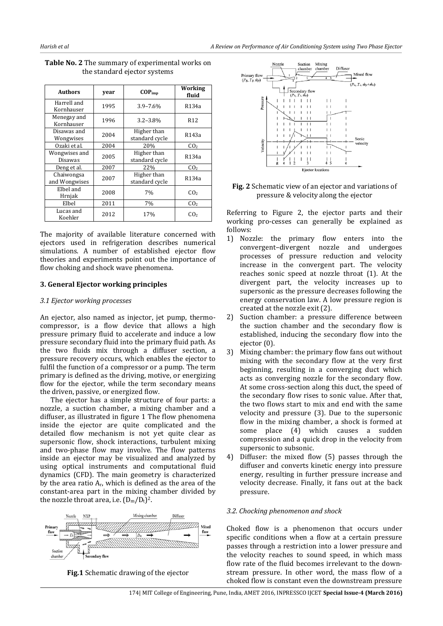| <b>Authors</b>              | year | $COP_{imp}$                   | Working<br>fluid |
|-----------------------------|------|-------------------------------|------------------|
| Harrell and<br>Kornhauser   | 1995 | $3.9 - 7.6%$                  | R134a            |
| Menegay and<br>Kornhauser   | 1996 | $3.2 - 3.8\%$                 | R <sub>12</sub>  |
| Disawas and<br>Wongwises    | 2004 | Higher than<br>standard cycle | R143a            |
| Ozaki et al.                | 2004 | 20%                           | CO <sub>2</sub>  |
| Wongwises and<br>Disawas    | 2005 | Higher than<br>standard cycle | R134a            |
| Deng et al.                 | 2007 | 22%                           | CO <sub>2</sub>  |
| Chaiwongsa<br>and Wongwises | 2007 | Higher than<br>standard cycle | R134a            |
| Elbel and<br>Hrnjak         | 2008 | 7%                            | CO <sub>2</sub>  |
| Elbel                       | 2011 | 7%                            | CO <sub>2</sub>  |
| Lucas and<br>Koehler        | 2012 | 17%                           | CO <sub>2</sub>  |

**Table No. 2** The summary of experimental works on the standard ejector systems

The majority of available literature concerned with ejectors used in refrigeration describes numerical simulations. A number of established ejector flow theories and experiments point out the importance of flow choking and shock wave phenomena.

## **3. General Ejector working principles**

#### *3.1 Ejector working processes*

An ejector, also named as injector, jet pump, thermocompressor, is a flow device that allows a high pressure primary fluid to accelerate and induce a low pressure secondary fluid into the primary fluid path. As the two fluids mix through a diffuser section, a pressure recovery occurs, which enables the ejector to fulfil the function of a compressor or a pump. The term primary is defined as the driving, motive, or energizing flow for the ejector, while the term secondary means the driven, passive, or energized flow.

The ejector has a simple structure of four parts: a nozzle, a suction chamber, a mixing chamber and a diffuser, as illustrated in figure 1 The flow phenomena inside the ejector are quite complicated and the detailed flow mechanism is not yet quite clear as supersonic flow, shock interactions, turbulent mixing and two-phase flow may involve. The flow patterns inside an ejector may be visualized and analyzed by using optical instruments and computational fluid dynamics (CFD). The main geometry is characterized by the area ratio  $A_r$ , which is defined as the area of the constant-area part in the mixing chamber divided by the nozzle throat area, i.e.  $(D_m/D_t)^2$ .







**Fig. 2** Schematic view of an ejector and variations of pressure & velocity along the ejector

Referring to Figure 2, the ejector parts and their working pro-cesses can generally be explained as follows:

- 1) Nozzle: the primary flow enters into the convergent–divergent nozzle and undergoes processes of pressure reduction and velocity increase in the convergent part. The velocity reaches sonic speed at nozzle throat (1). At the divergent part, the velocity increases up to supersonic as the pressure decreases following the energy conservation law. A low pressure region is created at the nozzle exit (2).
- 2) Suction chamber: a pressure difference between the suction chamber and the secondary flow is established, inducing the secondary flow into the ejector (0).
- 3) Mixing chamber: the primary flow fans out without mixing with the secondary flow at the very first beginning, resulting in a converging duct which acts as converging nozzle for the secondary flow. At some cross-section along this duct, the speed of the secondary flow rises to sonic value. After that, the two flows start to mix and end with the same velocity and pressure (3). Due to the supersonic flow in the mixing chamber, a shock is formed at some place (4) which causes a sudden compression and a quick drop in the velocity from supersonic to subsonic.
- 4) Diffuser: the mixed flow (5) passes through the diffuser and converts kinetic energy into pressure energy, resulting in further pressure increase and velocity decrease. Finally, it fans out at the back pressure.

## *3.2. Chocking phenomenon and shock*

Choked flow is a phenomenon that occurs under specific conditions when a flow at a certain pressure passes through a restriction into a lower pressure and the velocity reaches to sound speed, in which mass flow rate of the fluid becomes irrelevant to the downstream pressure. In other word, the mass flow of a choked flow is constant even the downstream pressure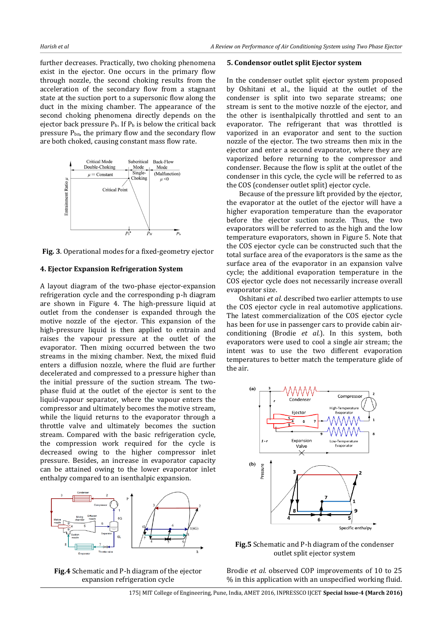further decreases. Practically, two choking phenomena exist in the ejector. One occurs in the primary flow through nozzle, the second choking results from the acceleration of the secondary flow from a stagnant state at the suction port to a supersonic flow along the duct in the mixing chamber. The appearance of the second choking phenomena directly depends on the ejector back pressure  $P_b$ . If  $P_b$  is below the critical back pressure  $P_{bn}$ , the primary flow and the secondary flow are both choked, causing constant mass flow rate.



**Fig. 3**. Operational modes for a fixed-geometry ejector

#### **4. Ejector Expansion Refrigeration System**

A layout diagram of the two-phase ejector-expansion refrigeration cycle and the corresponding p-h diagram are shown in Figure 4. The high-pressure liquid at outlet from the condenser is expanded through the motive nozzle of the ejector. This expansion of the high-pressure liquid is then applied to entrain and raises the vapour pressure at the outlet of the evaporator. Then mixing occurred between the two streams in the mixing chamber. Next, the mixed fluid enters a diffusion nozzle, where the fluid are further decelerated and compressed to a pressure higher than the initial pressure of the suction stream. The twophase fluid at the outlet of the ejector is sent to the liquid-vapour separator, where the vapour enters the compressor and ultimately becomes the motive stream, while the liquid returns to the evaporator through a throttle valve and ultimately becomes the suction stream. Compared with the basic refrigeration cycle, the compression work required for the cycle is decreased owing to the higher compressor inlet pressure. Besides, an increase in evaporator capacity can be attained owing to the lower evaporator inlet enthalpy compared to an isenthalpic expansion.



**Fig.4** Schematic and P-h diagram of the ejector expansion refrigeration cycle

#### **5. Condensor outlet split Ejector system**

In the condenser outlet split ejector system proposed by Oshitani et al., the liquid at the outlet of the condenser is split into two separate streams; one stream is sent to the motive nozzle of the ejector, and the other is isenthalpically throttled and sent to an evaporator. The refrigerant that was throttled is vaporized in an evaporator and sent to the suction nozzle of the ejector. The two streams then mix in the ejector and enter a second evaporator, where they are vaporized before returning to the compressor and condenser. Because the flow is split at the outlet of the condenser in this cycle, the cycle will be referred to as the COS (condenser outlet split) ejector cycle.

Because of the pressure lift provided by the ejector, the evaporator at the outlet of the ejector will have a higher evaporation temperature than the evaporator before the ejector suction nozzle. Thus, the two evaporators will be referred to as the high and the low temperature evaporators, shown in Figure 5. Note that the COS ejector cycle can be constructed such that the total surface area of the evaporators is the same as the surface area of the evaporator in an expansion valve cycle; the additional evaporation temperature in the COS ejector cycle does not necessarily increase overall evaporator size.

Oshitani *et al.* described two earlier attempts to use the COS ejector cycle in real automotive applications. The latest commercialization of the COS ejector cycle has been for use in passenger cars to provide cabin airconditioning (Brodie *et al.*). In this system, both evaporators were used to cool a single air stream; the intent was to use the two different evaporation temperatures to better match the temperature glide of the air.



**Fig.5** Schematic and P-h diagram of the condenser outlet split ejector system

Brodie *et al.* observed COP improvements of 10 to 25 % in this application with an unspecified working fluid.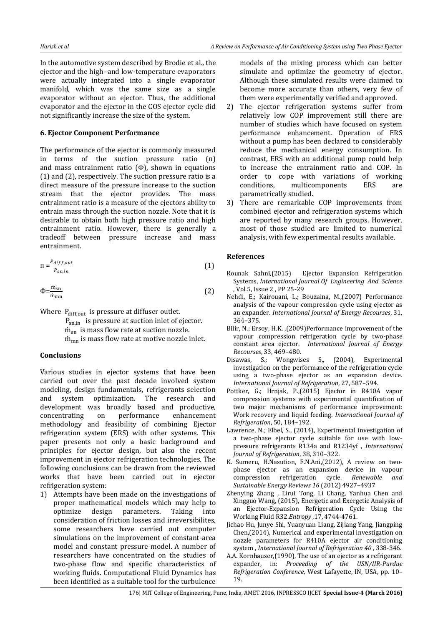In the automotive system described by Brodie et al., the ejector and the high- and low-temperature evaporators were actually integrated into a single evaporator manifold, which was the same size as a single evaporator without an ejector. Thus, the additional evaporator and the ejector in the COS ejector cycle did not significantly increase the size of the system.

# **6. Ejector Component Performance**

The performance of the ejector is commonly measured in terms of the suction pressure ratio  $(\Pi)$ and mass entrainment ratio  $(\Phi)$ , shown in equations (1) and (2), respectively. The suction pressure ratio is a direct measure of the pressure increase to the suction stream that the ejector provides. The mass entrainment ratio is a measure of the ejectors ability to entrain mass through the suction nozzle. Note that it is desirable to obtain both high pressure ratio and high entrainment ratio. However, there is generally a tradeoff between pressure increase and mass entrainment.

$$
\Pi = \frac{P_{diff,out}}{P_{sn,in}} \tag{1}
$$

$$
\Phi = \frac{\dot{m}_{sn}}{\dot{m}_{mn}}\tag{2}
$$

Where  $P_{diff,out}$  is pressure at diffuser outlet.

 $P_{sn.in}$  is pressure at suction inlet of ejector.  $\dot{m}_{sn}$  is mass flow rate at suction nozzle.  $\dot{m}_{mn}$  is mass flow rate at motive nozzle inlet.

## **Conclusions**

Various studies in ejector systems that have been carried out over the past decade involved system modeling, design fundamentals, refrigerants selection and system optimization. The research and development was broadly based and productive, concentrating on performance enhancement methodology and feasibility of combining Ejector refrigeration system (ERS) with other systems. This paper presents not only a basic background and principles for ejector design, but also the recent improvement in ejector refrigeration technologies. The following conclusions can be drawn from the reviewed works that have been carried out in ejector refrigeration system:

1) Attempts have been made on the investigations of proper mathematical models which may help to optimize design parameters. Taking into consideration of friction losses and irreversibilites, some researchers have carried out computer simulations on the improvement of constant-area model and constant pressure model. A number of researchers have concentrated on the studies of two-phase flow and specific characteristics of working fluids. Computational Fluid Dynamics has been identified as a suitable tool for the turbulence

models of the mixing process which can better simulate and optimize the geometry of ejector. Although these simulated results were claimed to become more accurate than others, very few of them were experimentally verified and approved.

- 2) The ejector refrigeration systems suffer from relatively low COP improvement still there are number of studies which have focused on system performance enhancement. Operation of ERS without a pump has been declared to considerably reduce the mechanical energy consumption. In contrast, ERS with an additional pump could help to increase the entrainment ratio and COP. In order to cope with variations of working conditions, multicomponents ERS are parametrically studied.
- 3) There are remarkable COP improvements from combined ejector and refrigeration systems which are reported by many research groups. However, most of those studied are limited to numerical analysis, with few experimental results available.

# **References**

- Rounak Sahni,(2015) Ejector Expansion Refrigeration Systems, *International Journal Of Engineering And Science*  , Vol.5, Issue 2 , PP 25-29
- Nehdi, E.; Kairouani, L.; Bouzaina, M.,(2007) Performance analysis of the vapour compression cycle using ejector as an expander. *International Journal of Energy Recourses*, 31, 364–375.
- Bilir, N.; Ersoy, H.K. ,(2009)Performance improvement of the vapour compression refrigeration cycle by two-phase constant area ejector. *International Journal of Energy Recourses*, 33, 469–480.
- Disawas, S.; Wongwises S., (2004), Experimental investigation on the performance of the refrigeration cycle using a two-phase ejector as an expansion device. *International Journal of Refrigeration*, 27, 587–594.
- Pottker, G.; Hrnjak, P.,(2015) Ejector in R410A vapor compression systems with experimental quantification of two major mechanisms of performance improvement: Work recovery and liquid feeding. *International Journal of Refrigeration*, 50, 184–192.
- Lawrence, N.; Elbel, S., (2014), Experimental investigation of a two-phase ejector cycle suitable for use with lowpressure refrigerants R134a and R1234yf , *International Journal of Refrigeration*, 38, 310–322.
- K. Sumeru, H.Nasution, F.N.Ani,(2012), A review on twophase ejector as an expansion device in vapour compression refrigeration cycle. *Renewable and Sustainable Energy Reviews 16* (2012) 4927–4937
- Zhenying Zhang , Lirui Tong, Li Chang, Yanhua Chen and Xingguo Wang, (2015), Energetic and Exergetic Analysis of an Ejector-Expansion Refrigeration Cycle Using the Working Fluid R32.*Entropy* ,17, 4744-4761.
- Jichao Hu, Junye Shi, Yuanyuan Liang, Zijiang Yang, Jiangping Chen,(2014), Numerical and experimental investigation on nozzle parameters for R410A ejector air conditioning system , *International Journal of Refrigeration 40* , 338-346.
- A.A. Kornhauser,(1990), The use of an ejector as a refrigerant expander, in: *Proceeding of the USN/IIR-Purdue Refrigeration Conference*, West Lafayette, IN, USA, pp. 10– 19.